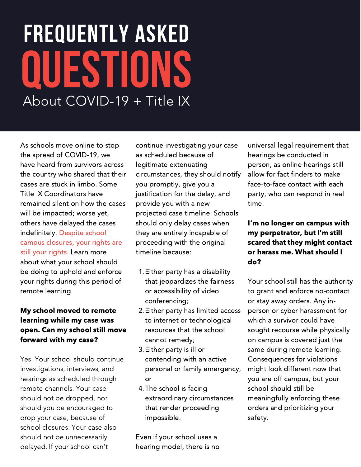# FREQUENTLY ASKED QUESTIO About COVID-19 + Title IX

As schools move online to stop the spread of COVID-19, we have heard from survivors across the country who shared that their cases are stuck in limbo. Some Title IX Coordinators have remained silent on how the cases will be impacted; worse yet, others have delayed the cases indefinitely. Despite school campus closures, your rights are still your rights. Learn more about what your school should be doing to uphold and enforce your rights during this period of remote learning.

## My school moved to remote learning while my case was open. Can my school still move forward with my case?

Yes. Your school should continue investigations, interviews, and hearings as scheduled through remote channels. Your case should not be dropped, nor should you be encouraged to drop your case, because of school closures. Your case also should not be unnecessarily delayed. If your school can't

continue investigating your case as scheduled because of legitimate extenuating circumstances, they should notify you promptly, give you a justification for the delay, and provide you with a new projected case timeline. Schools should only delay cases when they are entirely incapable of proceeding with the original timeline because:

- 1. Either party has a disability that jeopardizes the fairness or accessibility of video conferencing;
- 2. Either party has limited access to internet or technological resources that the school cannot remedy;
- Either party is ill or 3. contending with an active personal or family emergency; or
- 4. The school is facing extraordinary circumstances that render proceeding impossible.

Even if your school uses a hearing model, there is no universal legal requirement that hearings be conducted in person, as online hearings still allow for fact finders to make face-to-face contact with each party, who can respond in real time.

## I'm no longer on campus with my perpetrator, but I'm still scared that they might contact or harass me. What should I do?

Your school still has the authority to grant and enforce no-contact or stay away orders. Any inperson or cyber harassment for which a survivor could have sought recourse while physically on campus is covered just the same during remote learning. Consequences for violations might look different now that you are off campus, but your school should still be meaningfully enforcing these orders and prioritizing your safety.